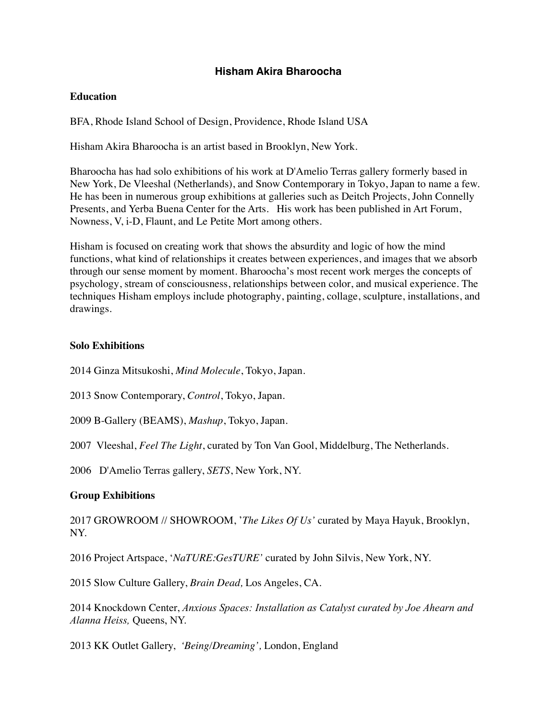# **Hisham Akira Bharoocha**

### **Education**

BFA, Rhode Island School of Design, Providence, Rhode Island USA

Hisham Akira Bharoocha is an artist based in Brooklyn, New York.

Bharoocha has had solo exhibitions of his work at D'Amelio Terras gallery formerly based in New York, De Vleeshal (Netherlands), and Snow Contemporary in Tokyo, Japan to name a few. He has been in numerous group exhibitions at galleries such as Deitch Projects, John Connelly Presents, and Yerba Buena Center for the Arts. His work has been published in Art Forum, Nowness, V, i-D, Flaunt, and Le Petite Mort among others.

Hisham is focused on creating work that shows the absurdity and logic of how the mind functions, what kind of relationships it creates between experiences, and images that we absorb through our sense moment by moment. Bharoocha's most recent work merges the concepts of psychology, stream of consciousness, relationships between color, and musical experience. The techniques Hisham employs include photography, painting, collage, sculpture, installations, and drawings.

### **Solo Exhibitions**

2014 Ginza Mitsukoshi, *Mind Molecule*, Tokyo, Japan.

2013 Snow Contemporary, *Control*, Tokyo, Japan.

2009 B-Gallery (BEAMS), *Mashup*, Tokyo, Japan.

2007 Vleeshal, *Feel The Light*, curated by Ton Van Gool, Middelburg, The Netherlands.

2006 D'Amelio Terras gallery, *SETS*, New York, NY.

## **Group Exhibitions**

2017 GROWROOM // SHOWROOM, '*The Likes Of Us'* curated by Maya Hayuk, Brooklyn, NY.

2016 Project Artspace, '*NaTURE:GesTURE'* curated by John Silvis, New York, NY.

2015 Slow Culture Gallery, *Brain Dead,* Los Angeles, CA.

2014 Knockdown Center, *[Anxious Spaces: Installation as Catalyst](http://clocktower.org/exhibition/anxious-spaces-installation-as-catalyst) curated by Joe Ahearn and Alanna Heiss,* Queens, NY.

2013 KK Outlet Gallery, *'Being/Dreaming',* London, England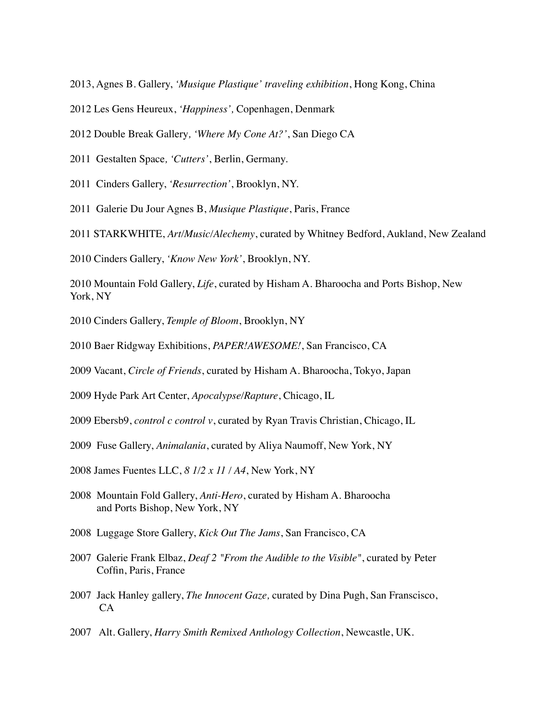- 2013, Agnes B. Gallery, *'Musique Plastique' traveling exhibition*, Hong Kong, China
- 2012 Les Gens Heureux, *'Happiness',* Copenhagen, Denmark
- 2012 Double Break Gallery*, 'Where My Cone At?'*, San Diego CA
- 2011 Gestalten Space*, 'Cutters'*, Berlin, Germany.
- 2011 Cinders Gallery, *'Resurrection'*, Brooklyn, NY.
- 2011 Galerie Du Jour Agnes B, *Musique Plastique*, Paris, France
- 2011 STARKWHITE, *Art/Music/Alechemy*, curated by Whitney Bedford, Aukland, New Zealand
- 2010 Cinders Gallery, *'Know New York'*, Brooklyn, NY.
- 2010 Mountain Fold Gallery, *Life*, curated by Hisham A. Bharoocha and Ports Bishop, New York, NY
- 2010 Cinders Gallery, *Temple of Bloom*, Brooklyn, NY
- 2010 Baer Ridgway Exhibitions, *PAPER!AWESOME!*, San Francisco, CA
- 2009 Vacant, *Circle of Friends*, curated by Hisham A. Bharoocha, Tokyo, Japan
- 2009 Hyde Park Art Center, *Apocalypse/Rapture*, Chicago, IL
- 2009 Ebersb9, *control c control v*, curated by Ryan Travis Christian, Chicago, IL
- 2009 Fuse Gallery, *Animalania*, curated by Aliya Naumoff, New York, NY
- 2008 James Fuentes LLC, *8 1/2 x 11 / A4*, New York, NY
- 2008 Mountain Fold Gallery, *Anti-Hero*, curated by Hisham A. Bharoocha and Ports Bishop, New York, NY
- 2008 Luggage Store Gallery, *Kick Out The Jams*, San Francisco, CA
- 2007 Galerie Frank Elbaz, *Deaf 2 "From the Audible to the Visible"*, curated by Peter Coffin, Paris, France
- 2007 Jack Hanley gallery, *The Innocent Gaze,* curated by Dina Pugh, San Franscisco, CA
- 2007 Alt. Gallery, *Harry Smith Remixed Anthology Collection*, Newcastle, UK.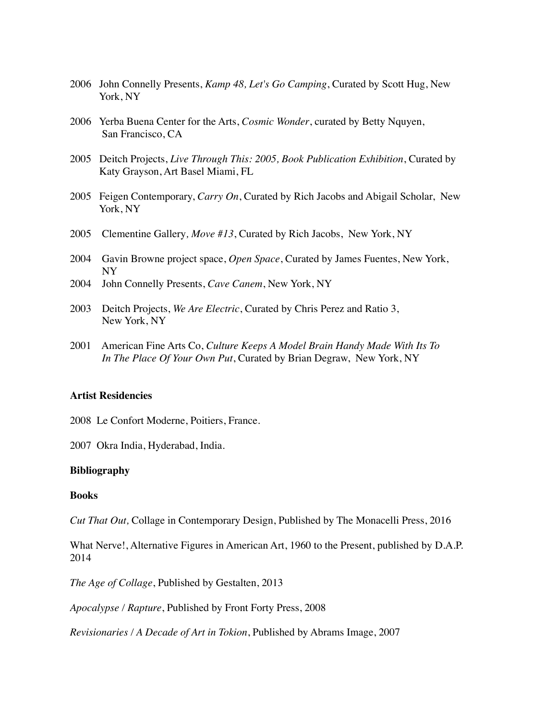- 2006 John Connelly Presents, *Kamp 48, Let's Go Camping*, Curated by Scott Hug, New York, NY
- 2006 Yerba Buena Center for the Arts, *Cosmic Wonder*, curated by Betty Nquyen, San Francisco, CA
- 2005 Deitch Projects, *Live Through This: 2005, Book Publication Exhibition*, Curated by Katy Grayson, Art Basel Miami, FL
- 2005 Feigen Contemporary, *Carry On*, Curated by Rich Jacobs and Abigail Scholar, New York, NY
- 2005 Clementine Gallery*, Move #13*, Curated by Rich Jacobs, New York, NY
- 2004 Gavin Browne project space, *Open Space*, Curated by James Fuentes, New York, NY
- 2004 John Connelly Presents, *Cave Canem*, New York, NY
- 2003 Deitch Projects, *We Are Electric*, Curated by Chris Perez and Ratio 3, New York, NY
- 2001 American Fine Arts Co, *Culture Keeps A Model Brain Handy Made With Its To In The Place Of Your Own Put*, Curated by Brian Degraw, New York, NY

### **Artist Residencies**

2008 Le Confort Moderne, Poitiers, France.

2007 Okra India, Hyderabad, India.

#### **Bibliography**

#### **Books**

*Cut That Out,* Collage in Contemporary Design, Published by The Monacelli Press, 2016

What Nerve!, Alternative Figures in American Art, 1960 to the Present, published by D.A.P. 2014

*The Age of Collage*, Published by Gestalten, 2013

*Apocalypse / Rapture*, Published by Front Forty Press, 2008

*Revisionaries / A Decade of Art in Tokion*, Published by Abrams Image, 2007